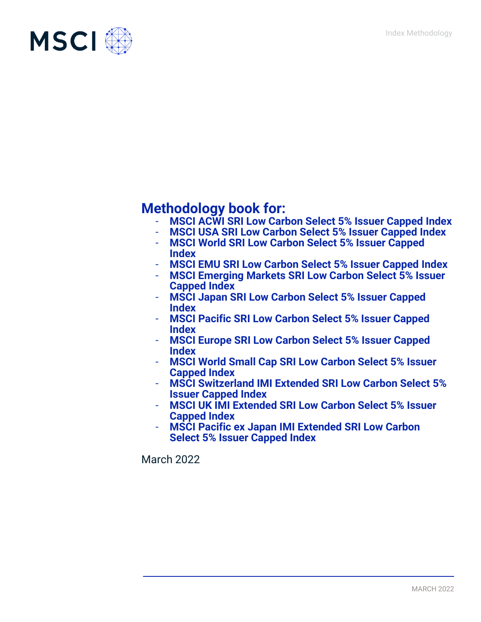

# **Methodology book for:**

- **MSCI ACWI SRI Low Carbon Select 5% Issuer Capped Index**
- **MSCI USA SRI Low Carbon Select 5% Issuer Capped Index**
- **MSCI World SRI Low Carbon Select 5% Issuer Capped Index**
- **MSCI EMU SRI Low Carbon Select 5% Issuer Capped Index**
- **MSCI Emerging Markets SRI Low Carbon Select 5% Issuer Capped Index**
- **MSCI Japan SRI Low Carbon Select 5% Issuer Capped Index**
- **MSCI Pacific SRI Low Carbon Select 5% Issuer Capped Index**
- **MSCI Europe SRI Low Carbon Select 5% Issuer Capped Index**
- **MSCI World Small Cap SRI Low Carbon Select 5% Issuer Capped Index**
- **MSCI Switzerland IMI Extended SRI Low Carbon Select 5% Issuer Capped Index**
- **MSCI UK IMI Extended SRI Low Carbon Select 5% Issuer Capped Index**
- **MSCI Pacific ex Japan IMI Extended SRI Low Carbon Select 5% Issuer Capped Index**

March 2022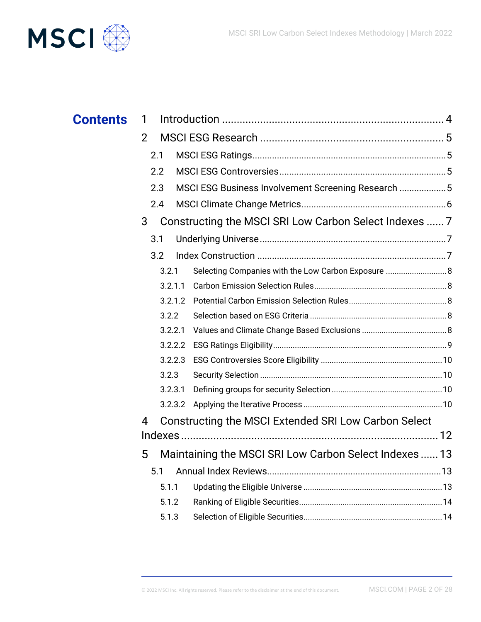

| <b>Contents</b> | 1                                                           |                                                      |                                                        |  |
|-----------------|-------------------------------------------------------------|------------------------------------------------------|--------------------------------------------------------|--|
|                 | $\overline{2}$                                              |                                                      |                                                        |  |
|                 | 2.1                                                         |                                                      |                                                        |  |
|                 | 2.2                                                         |                                                      |                                                        |  |
|                 | 2.3                                                         |                                                      | MSCI ESG Business Involvement Screening Research 5     |  |
|                 | 2.4                                                         |                                                      |                                                        |  |
|                 | 3<br>Constructing the MSCI SRI Low Carbon Select Indexes  7 |                                                      |                                                        |  |
|                 | 3.1                                                         |                                                      |                                                        |  |
|                 | 3.2                                                         |                                                      |                                                        |  |
|                 |                                                             | 3.2.1                                                | Selecting Companies with the Low Carbon Exposure  8    |  |
|                 |                                                             | 3.2.1.1                                              |                                                        |  |
|                 |                                                             | 3.2.1.2                                              |                                                        |  |
|                 |                                                             | 3.2.2                                                |                                                        |  |
|                 | 3.2.3                                                       | 3.2.2.1                                              |                                                        |  |
|                 |                                                             | 3.2.2.2                                              |                                                        |  |
|                 |                                                             | 3.2.2.3                                              |                                                        |  |
|                 |                                                             |                                                      |                                                        |  |
|                 |                                                             | 3.2.3.1                                              |                                                        |  |
|                 |                                                             | 3.2.3.2                                              |                                                        |  |
|                 | 4                                                           | Constructing the MSCI Extended SRI Low Carbon Select |                                                        |  |
|                 |                                                             |                                                      |                                                        |  |
|                 | 5<br>5.1                                                    |                                                      | Maintaining the MSCI SRI Low Carbon Select Indexes  13 |  |
|                 |                                                             |                                                      |                                                        |  |
|                 |                                                             | 5.1.1                                                |                                                        |  |
|                 |                                                             | 5.1.2                                                |                                                        |  |
|                 |                                                             | 5.1.3                                                |                                                        |  |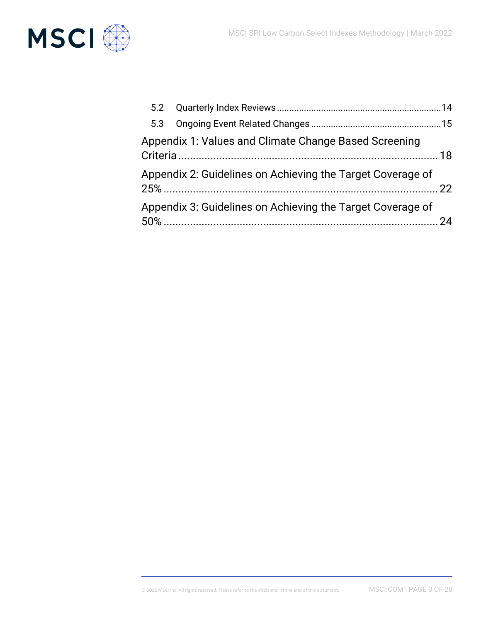

|                                                            | Appendix 1: Values and Climate Change Based Screening      |  |
|------------------------------------------------------------|------------------------------------------------------------|--|
| Appendix 2: Guidelines on Achieving the Target Coverage of |                                                            |  |
|                                                            | Appendix 3: Guidelines on Achieving the Target Coverage of |  |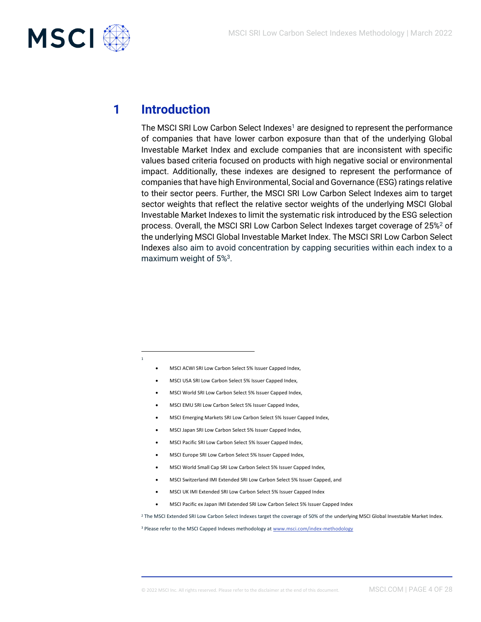

# **1 Introduction**

The MSCI SRI Low Carbon Select Indexes<sup>1</sup> are designed to represent the performance of companies that have lower carbon exposure than that of the underlying Global Investable Market Index and exclude companies that are inconsistent with specific values based criteria focused on products with high negative social or environmental impact. Additionally, these indexes are designed to represent the performance of companies that have high Environmental, Social and Governance (ESG) ratings relative to their sector peers. Further, the MSCI SRI Low Carbon Select Indexes aim to target sector weights that reflect the relative sector weights of the underlying MSCI Global Investable Market Indexes to limit the systematic risk introduced by the ESG selection process. Overall, the MSCI SRI Low Carbon Select Indexes target coverage of 25%<sup>2</sup> of the underlying MSCI Global Investable Market Index. The MSCI SRI Low Carbon Select Indexes also aim to avoid concentration by capping securities within each index to a maximum weight of 5%<sup>3</sup>.

1

- MSCI ACWI SRI Low Carbon Select 5% Issuer Capped Index,
- MSCI USA SRI Low Carbon Select 5% Issuer Capped Index,
- MSCI World SRI Low Carbon Select 5% Issuer Capped Index,
- MSCI EMU SRI Low Carbon Select 5% Issuer Capped Index,
- MSCI Emerging Markets SRI Low Carbon Select 5% Issuer Capped Index,
- MSCI Japan SRI Low Carbon Select 5% Issuer Capped Index,
- MSCI Pacific SRI Low Carbon Select 5% Issuer Capped Index,
- MSCI Europe SRI Low Carbon Select 5% Issuer Capped Index,
- MSCI World Small Cap SRI Low Carbon Select 5% Issuer Capped Index,
- MSCI Switzerland IMI Extended SRI Low Carbon Select 5% Issuer Capped, and
- MSCI UK IMI Extended SRI Low Carbon Select 5% Issuer Capped Index
- MSCI Pacific ex Japan IMI Extended SRI Low Carbon Select 5% Issuer Capped Index

<sup>2</sup> The MSCI Extended SRI Low Carbon Select Indexes target the coverage of 50% of the underlying MSCI Global Investable Market Index.

<sup>3</sup> Please refer to the MSCI Capped Indexes methodology a[t www.msci.com/index-methodology](file:///C:/Users/pandkam/AppData/Local/Microsoft/Windows/INetCache/Content.Outlook/6PTT7XJ1/www.msci.com/index-methodology)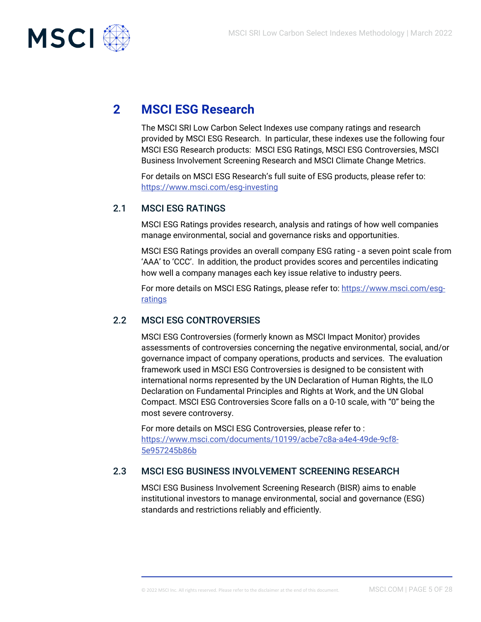

# **2 MSCI ESG Research**

The MSCI SRI Low Carbon Select Indexes use company ratings and research provided by MSCI ESG Research. In particular, these indexes use the following four MSCI ESG Research products: MSCI ESG Ratings, MSCI ESG Controversies, MSCI Business Involvement Screening Research and MSCI Climate Change Metrics.

For details on MSCI ESG Research's full suite of ESG products, please refer to: <https://www.msci.com/esg-investing>

# 2.1 MSCI ESG RATINGS

MSCI ESG Ratings provides research, analysis and ratings of how well companies manage environmental, social and governance risks and opportunities.

MSCI ESG Ratings provides an overall company ESG rating - a seven point scale from 'AAA' to 'CCC'. In addition, the product provides scores and percentiles indicating how well a company manages each key issue relative to industry peers.

For more details on MSCI ESG Ratings, please refer to: [https://www.msci.com/esg](https://www.msci.com/esg-ratings)[ratings](https://www.msci.com/esg-ratings)

# 2.2 MSCI ESG CONTROVERSIES

MSCI ESG Controversies (formerly known as MSCI Impact Monitor) provides assessments of controversies concerning the negative environmental, social, and/or governance impact of company operations, products and services. The evaluation framework used in MSCI ESG Controversies is designed to be consistent with international norms represented by the UN Declaration of Human Rights, the ILO Declaration on Fundamental Principles and Rights at Work, and the UN Global Compact. MSCI ESG Controversies Score falls on a 0-10 scale, with "0" being the most severe controversy.

For more details on MSCI ESG Controversies, please refer to : [https://www.msci.com/documents/10199/acbe7c8a-a4e4-49de-9cf8-](https://www.msci.com/documents/10199/acbe7c8a-a4e4-49de-9cf8-5e957245b86b) [5e957245b86b](https://www.msci.com/documents/10199/acbe7c8a-a4e4-49de-9cf8-5e957245b86b)

# 2.3 MSCI ESG BUSINESS INVOLVEMENT SCREENING RESEARCH

MSCI ESG Business Involvement Screening Research (BISR) aims to enable institutional investors to manage environmental, social and governance (ESG) standards and restrictions reliably and efficiently.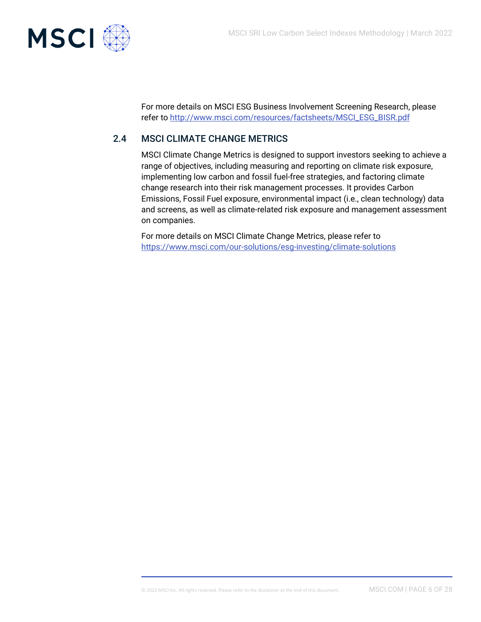

For more details on MSCI ESG Business Involvement Screening Research, please refer to [http://www.msci.com/resources/factsheets/MSCI\\_ESG\\_BISR.pdf](http://www.msci.com/resources/factsheets/MSCI_ESG_BISR.pdf)

# 2.4 MSCI CLIMATE CHANGE METRICS

MSCI Climate Change Metrics is designed to support investors seeking to achieve a range of objectives, including measuring and reporting on climate risk exposure, implementing low carbon and fossil fuel-free strategies, and factoring climate change research into their risk management processes. It provides Carbon Emissions, Fossil Fuel exposure, environmental impact (i.e., clean technology) data and screens, as well as climate-related risk exposure and management assessment on companies.

For more details on MSCI Climate Change Metrics, please refer to <https://www.msci.com/our-solutions/esg-investing/climate-solutions>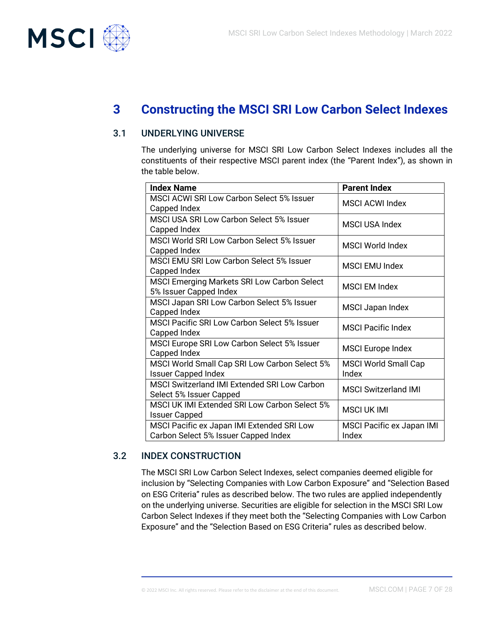

# **3 Constructing the MSCI SRI Low Carbon Select Indexes**

# 3.1 UNDERLYING UNIVERSE

The underlying universe for MSCI SRI Low Carbon Select Indexes includes all the constituents of their respective MSCI parent index (the "Parent Index"), as shown in the table below.

| <b>Index Name</b>                                   | <b>Parent Index</b>              |
|-----------------------------------------------------|----------------------------------|
| MSCI ACWI SRI Low Carbon Select 5% Issuer           | <b>MSCI ACWI Index</b>           |
| Capped Index                                        |                                  |
| MSCI USA SRI Low Carbon Select 5% Issuer            | <b>MSCI USA Index</b>            |
| Capped Index                                        |                                  |
| MSCI World SRI Low Carbon Select 5% Issuer          | <b>MSCI World Index</b>          |
| Capped Index                                        |                                  |
| MSCI EMU SRI Low Carbon Select 5% Issuer            | <b>MSCI EMU Index</b>            |
| Capped Index                                        |                                  |
| MSCI Emerging Markets SRI Low Carbon Select         | <b>MSCI EM Index</b>             |
| 5% Issuer Capped Index                              |                                  |
| MSCI Japan SRI Low Carbon Select 5% Issuer          | MSCI Japan Index                 |
| Capped Index                                        |                                  |
| <b>MSCI Pacific SRI Low Carbon Select 5% Issuer</b> | <b>MSCI Pacific Index</b>        |
| Capped Index                                        |                                  |
| MSCI Europe SRI Low Carbon Select 5% Issuer         | <b>MSCI Europe Index</b>         |
| Capped Index                                        |                                  |
| MSCI World Small Cap SRI Low Carbon Select 5%       | <b>MSCI World Small Cap</b>      |
| <b>Issuer Capped Index</b>                          | Index                            |
| MSCI Switzerland IMI Extended SRI Low Carbon        | <b>MSCI Switzerland IMI</b>      |
| Select 5% Issuer Capped                             |                                  |
| MSCI UK IMI Extended SRI Low Carbon Select 5%       | <b>MSCI UK IMI</b>               |
| <b>Issuer Capped</b>                                |                                  |
| MSCI Pacific ex Japan IMI Extended SRI Low          | <b>MSCI Pacific ex Japan IMI</b> |
| Carbon Select 5% Issuer Capped Index                | Index                            |

# 3.2 INDEX CONSTRUCTION

The MSCI SRI Low Carbon Select Indexes, select companies deemed eligible for inclusion by "Selecting Companies with Low Carbon Exposure" and "Selection Based on ESG Criteria" rules as described below. The two rules are applied independently on the underlying universe. Securities are eligible for selection in the MSCI SRI Low Carbon Select Indexes if they meet both the "Selecting Companies with Low Carbon Exposure" and the "Selection Based on ESG Criteria" rules as described below.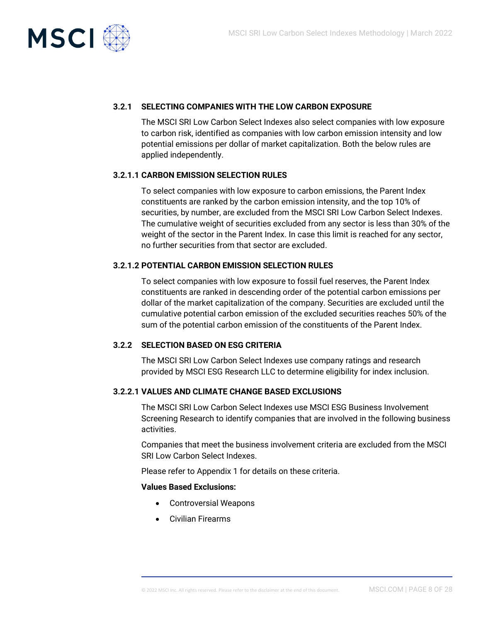

## **3.2.1 SELECTING COMPANIES WITH THE LOW CARBON EXPOSURE**

The MSCI SRI Low Carbon Select Indexes also select companies with low exposure to carbon risk, identified as companies with low carbon emission intensity and low potential emissions per dollar of market capitalization. Both the below rules are applied independently.

## **3.2.1.1 CARBON EMISSION SELECTION RULES**

To select companies with low exposure to carbon emissions, the Parent Index constituents are ranked by the carbon emission intensity, and the top 10% of securities, by number, are excluded from the MSCI SRI Low Carbon Select Indexes. The cumulative weight of securities excluded from any sector is less than 30% of the weight of the sector in the Parent Index. In case this limit is reached for any sector, no further securities from that sector are excluded.

## **3.2.1.2 POTENTIAL CARBON EMISSION SELECTION RULES**

To select companies with low exposure to fossil fuel reserves, the Parent Index constituents are ranked in descending order of the potential carbon emissions per dollar of the market capitalization of the company. Securities are excluded until the cumulative potential carbon emission of the excluded securities reaches 50% of the sum of the potential carbon emission of the constituents of the Parent Index.

## **3.2.2 SELECTION BASED ON ESG CRITERIA**

The MSCI SRI Low Carbon Select Indexes use company ratings and research provided by MSCI ESG Research LLC to determine eligibility for index inclusion.

#### **3.2.2.1 VALUES AND CLIMATE CHANGE BASED EXCLUSIONS**

The MSCI SRI Low Carbon Select Indexes use MSCI ESG Business Involvement Screening Research to identify companies that are involved in the following business activities.

Companies that meet the business involvement criteria are excluded from the MSCI SRI Low Carbon Select Indexes.

Please refer to Appendix 1 for details on these criteria.

#### **Values Based Exclusions:**

- Controversial Weapons
- Civilian Firearms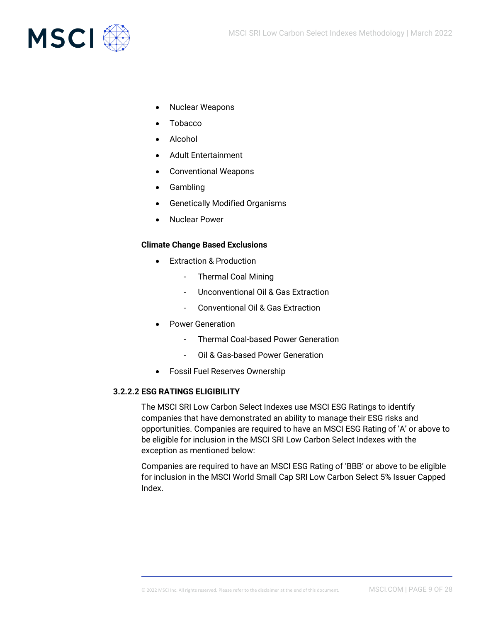

- Nuclear Weapons
- Tobacco
- Alcohol
- Adult Entertainment
- Conventional Weapons
- Gambling
- Genetically Modified Organisms
- Nuclear Power

#### **Climate Change Based Exclusions**

- Extraction & Production
	- Thermal Coal Mining
	- Unconventional Oil & Gas Extraction
	- Conventional Oil & Gas Extraction
- Power Generation
	- Thermal Coal-based Power Generation
	- Oil & Gas-based Power Generation
- Fossil Fuel Reserves Ownership

#### **3.2.2.2 ESG RATINGS ELIGIBILITY**

The MSCI SRI Low Carbon Select Indexes use MSCI ESG Ratings to identify companies that have demonstrated an ability to manage their ESG risks and opportunities. Companies are required to have an MSCI ESG Rating of 'A' or above to be eligible for inclusion in the MSCI SRI Low Carbon Select Indexes with the exception as mentioned below:

Companies are required to have an MSCI ESG Rating of 'BBB' or above to be eligible for inclusion in the MSCI World Small Cap SRI Low Carbon Select 5% Issuer Capped Index.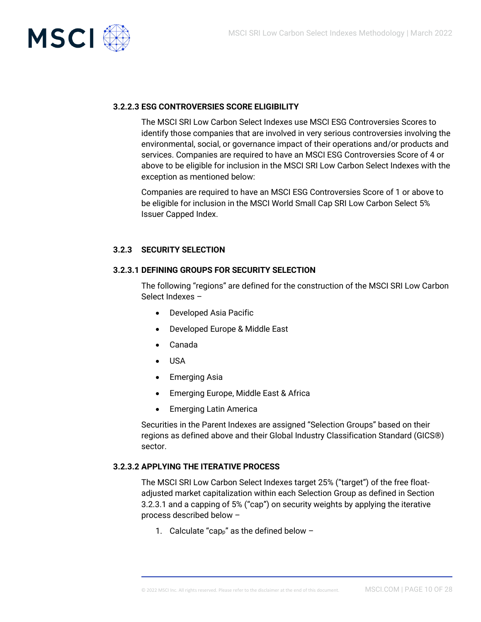

## **3.2.2.3 ESG CONTROVERSIES SCORE ELIGIBILITY**

The MSCI SRI Low Carbon Select Indexes use MSCI ESG Controversies Scores to identify those companies that are involved in very serious controversies involving the environmental, social, or governance impact of their operations and/or products and services. Companies are required to have an MSCI ESG Controversies Score of 4 or above to be eligible for inclusion in the MSCI SRI Low Carbon Select Indexes with the exception as mentioned below:

Companies are required to have an MSCI ESG Controversies Score of 1 or above to be eligible for inclusion in the MSCI World Small Cap SRI Low Carbon Select 5% Issuer Capped Index.

## **3.2.3 SECURITY SELECTION**

#### **3.2.3.1 DEFINING GROUPS FOR SECURITY SELECTION**

The following "regions" are defined for the construction of the MSCI SRI Low Carbon Select Indexes –

- Developed Asia Pacific
- Developed Europe & Middle East
- Canada
- USA
- Emerging Asia
- Emerging Europe, Middle East & Africa
- Emerging Latin America

Securities in the Parent Indexes are assigned "Selection Groups" based on their regions as defined above and their Global Industry Classification Standard (GICS®) sector.

## **3.2.3.2 APPLYING THE ITERATIVE PROCESS**

The MSCI SRI Low Carbon Select Indexes target 25% ("target") of the free floatadjusted market capitalization within each Selection Group as defined in Section 3.2.3.1 and a capping of 5% ("cap") on security weights by applying the iterative process described below –

1. Calculate "cap<sub>p</sub>" as the defined below -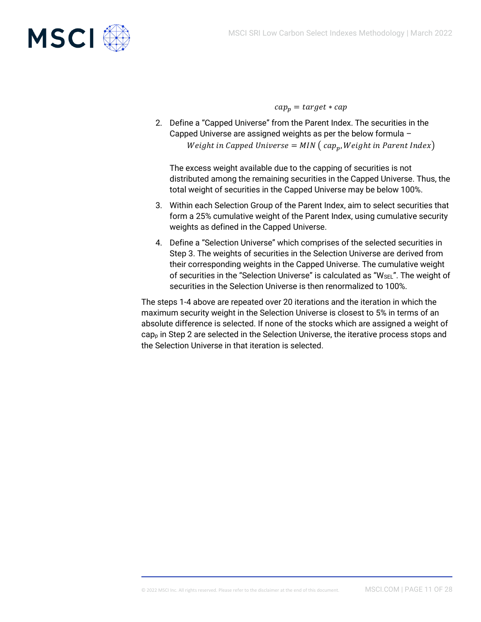

 $cap_p = target * cap$ 

2. Define a "Capped Universe" from the Parent Index. The securities in the Capped Universe are assigned weights as per the below formula – Weight in Capped Universe = MIN (  $cap_p$ , Weight in Parent Index)

The excess weight available due to the capping of securities is not distributed among the remaining securities in the Capped Universe. Thus, the total weight of securities in the Capped Universe may be below 100%.

- 3. Within each Selection Group of the Parent Index, aim to select securities that form a 25% cumulative weight of the Parent Index, using cumulative security weights as defined in the Capped Universe.
- 4. Define a "Selection Universe" which comprises of the selected securities in Step 3. The weights of securities in the Selection Universe are derived from their corresponding weights in the Capped Universe. The cumulative weight of securities in the "Selection Universe" is calculated as "W<sub>SEL</sub>". The weight of securities in the Selection Universe is then renormalized to 100%.

The steps 1-4 above are repeated over 20 iterations and the iteration in which the maximum security weight in the Selection Universe is closest to 5% in terms of an absolute difference is selected. If none of the stocks which are assigned a weight of cap<sup>p</sup> in Step 2 are selected in the Selection Universe, the iterative process stops and the Selection Universe in that iteration is selected.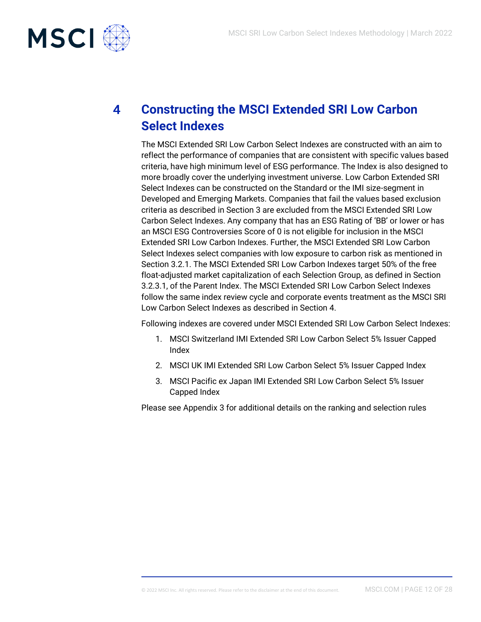

## **Constructing the MSCI Extended SRI Low Carbon**  4 **Select Indexes**

The MSCI Extended SRI Low Carbon Select Indexes are constructed with an aim to reflect the performance of companies that are consistent with specific values based criteria, have high minimum level of ESG performance. The Index is also designed to more broadly cover the underlying investment universe. Low Carbon Extended SRI Select Indexes can be constructed on the Standard or the IMI size-segment in Developed and Emerging Markets. Companies that fail the values based exclusion criteria as described in Section 3 are excluded from the MSCI Extended SRI Low Carbon Select Indexes. Any company that has an ESG Rating of 'BB' or lower or has an MSCI ESG Controversies Score of 0 is not eligible for inclusion in the MSCI Extended SRI Low Carbon Indexes. Further, the MSCI Extended SRI Low Carbon Select Indexes select companies with low exposure to carbon risk as mentioned in Section 3.2.1. The MSCI Extended SRI Low Carbon Indexes target 50% of the free float-adjusted market capitalization of each Selection Group, as defined in Section 3.2.3.1, of the Parent Index. The MSCI Extended SRI Low Carbon Select Indexes follow the same index review cycle and corporate events treatment as the MSCI SRI Low Carbon Select Indexes as described in Section 4.

Following indexes are covered under MSCI Extended SRI Low Carbon Select Indexes:

- 1. MSCI Switzerland IMI Extended SRI Low Carbon Select 5% Issuer Capped Index
- 2. MSCI UK IMI Extended SRI Low Carbon Select 5% Issuer Capped Index
- 3. MSCI Pacific ex Japan IMI Extended SRI Low Carbon Select 5% Issuer Capped Index

Please see Appendix 3 for additional details on the ranking and selection rules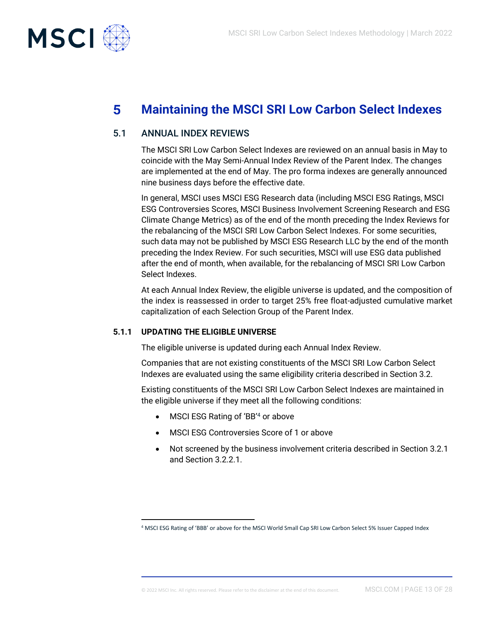

#### 5 **Maintaining the MSCI SRI Low Carbon Select Indexes**

# 5.1 ANNUAL INDEX REVIEWS

The MSCI SRI Low Carbon Select Indexes are reviewed on an annual basis in May to coincide with the May Semi-Annual Index Review of the Parent Index. The changes are implemented at the end of May. The pro forma indexes are generally announced nine business days before the effective date.

In general, MSCI uses MSCI ESG Research data (including MSCI ESG Ratings, MSCI ESG Controversies Scores, MSCI Business Involvement Screening Research and ESG Climate Change Metrics) as of the end of the month preceding the Index Reviews for the rebalancing of the MSCI SRI Low Carbon Select Indexes. For some securities, such data may not be published by MSCI ESG Research LLC by the end of the month preceding the Index Review. For such securities, MSCI will use ESG data published after the end of month, when available, for the rebalancing of MSCI SRI Low Carbon Select Indexes.

At each Annual Index Review, the eligible universe is updated, and the composition of the index is reassessed in order to target 25% free float-adjusted cumulative market capitalization of each Selection Group of the Parent Index.

#### **5.1.1 UPDATING THE ELIGIBLE UNIVERSE**

The eligible universe is updated during each Annual Index Review.

Companies that are not existing constituents of the MSCI SRI Low Carbon Select Indexes are evaluated using the same eligibility criteria described in Section 3.2.

Existing constituents of the MSCI SRI Low Carbon Select Indexes are maintained in the eligible universe if they meet all the following conditions:

- MSCI ESG Rating of 'BB'<sup>4</sup> or above
- MSCI ESG Controversies Score of 1 or above
- Not screened by the business involvement criteria described in Section 3.2.1 and Section 3.2.2.1.

<sup>4</sup> MSCI ESG Rating of 'BBB' or above for the MSCI World Small Cap SRI Low Carbon Select 5% Issuer Capped Index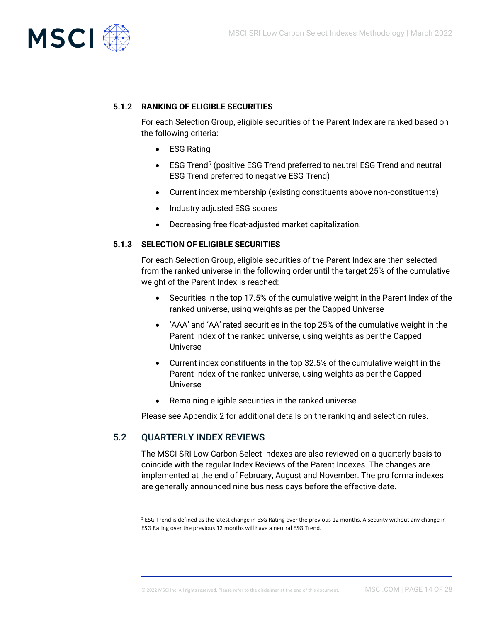

# **5.1.2 RANKING OF ELIGIBLE SECURITIES**

For each Selection Group, eligible securities of the Parent Index are ranked based on the following criteria:

- ESG Rating
- ESG Trend<sup>5</sup> (positive ESG Trend preferred to neutral ESG Trend and neutral ESG Trend preferred to negative ESG Trend)
- Current index membership (existing constituents above non-constituents)
- Industry adjusted ESG scores
- Decreasing free float-adjusted market capitalization.

## **5.1.3 SELECTION OF ELIGIBLE SECURITIES**

For each Selection Group, eligible securities of the Parent Index are then selected from the ranked universe in the following order until the target 25% of the cumulative weight of the Parent Index is reached:

- Securities in the top 17.5% of the cumulative weight in the Parent Index of the ranked universe, using weights as per the Capped Universe
- 'AAA' and 'AA' rated securities in the top 25% of the cumulative weight in the Parent Index of the ranked universe, using weights as per the Capped Universe
- Current index constituents in the top 32.5% of the cumulative weight in the Parent Index of the ranked universe, using weights as per the Capped Universe
- Remaining eligible securities in the ranked universe

Please see Appendix 2 for additional details on the ranking and selection rules.

# 5.2 QUARTERLY INDEX REVIEWS

The MSCI SRI Low Carbon Select Indexes are also reviewed on a quarterly basis to coincide with the regular Index Reviews of the Parent Indexes. The changes are implemented at the end of February, August and November. The pro forma indexes are generally announced nine business days before the effective date.

<sup>5</sup> ESG Trend is defined as the latest change in ESG Rating over the previous 12 months. A security without any change in ESG Rating over the previous 12 months will have a neutral ESG Trend.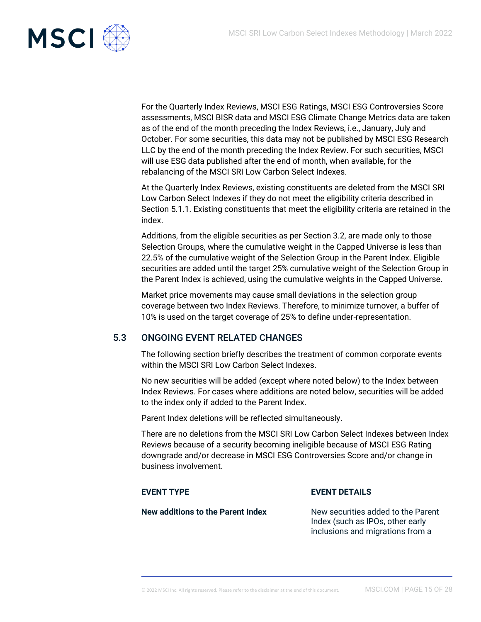

For the Quarterly Index Reviews, MSCI ESG Ratings, MSCI ESG Controversies Score assessments, MSCI BISR data and MSCI ESG Climate Change Metrics data are taken as of the end of the month preceding the Index Reviews, i.e., January, July and October. For some securities, this data may not be published by MSCI ESG Research LLC by the end of the month preceding the Index Review. For such securities, MSCI will use ESG data published after the end of month, when available, for the rebalancing of the MSCI SRI Low Carbon Select Indexes.

At the Quarterly Index Reviews, existing constituents are deleted from the MSCI SRI Low Carbon Select Indexes if they do not meet the eligibility criteria described in Section 5.1.1. Existing constituents that meet the eligibility criteria are retained in the index.

Additions, from the eligible securities as per Section 3.2, are made only to those Selection Groups, where the cumulative weight in the Capped Universe is less than 22.5% of the cumulative weight of the Selection Group in the Parent Index. Eligible securities are added until the target 25% cumulative weight of the Selection Group in the Parent Index is achieved, using the cumulative weights in the Capped Universe.

Market price movements may cause small deviations in the selection group coverage between two Index Reviews. Therefore, to minimize turnover, a buffer of 10% is used on the target coverage of 25% to define under-representation.

# 5.3 ONGOING EVENT RELATED CHANGES

The following section briefly describes the treatment of common corporate events within the MSCI SRI Low Carbon Select Indexes.

No new securities will be added (except where noted below) to the Index between Index Reviews. For cases where additions are noted below, securities will be added to the index only if added to the Parent Index.

Parent Index deletions will be reflected simultaneously.

There are no deletions from the MSCI SRI Low Carbon Select Indexes between Index Reviews because of a security becoming ineligible because of MSCI ESG Rating downgrade and/or decrease in MSCI ESG Controversies Score and/or change in business involvement.

# **EVENT TYPE EVENT DETAILS**

**New additions to the Parent Index** New securities added to the Parent Index (such as IPOs, other early inclusions and migrations from a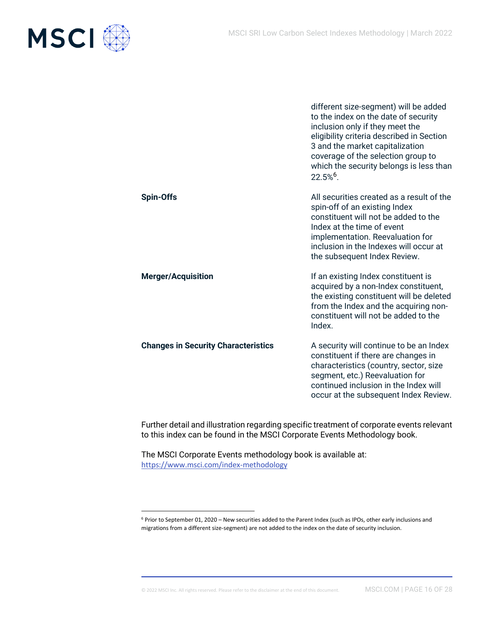

|                                            | different size-segment) will be added<br>to the index on the date of security<br>inclusion only if they meet the<br>eligibility criteria described in Section<br>3 and the market capitalization<br>coverage of the selection group to<br>which the security belongs is less than<br>$22.5%$ <sup>6</sup> |
|--------------------------------------------|-----------------------------------------------------------------------------------------------------------------------------------------------------------------------------------------------------------------------------------------------------------------------------------------------------------|
| <b>Spin-Offs</b>                           | All securities created as a result of the<br>spin-off of an existing Index<br>constituent will not be added to the<br>Index at the time of event<br>implementation. Reevaluation for<br>inclusion in the Indexes will occur at<br>the subsequent Index Review.                                            |
| <b>Merger/Acquisition</b>                  | If an existing Index constituent is<br>acquired by a non-Index constituent,<br>the existing constituent will be deleted<br>from the Index and the acquiring non-<br>constituent will not be added to the<br>Index.                                                                                        |
| <b>Changes in Security Characteristics</b> | A security will continue to be an Index<br>constituent if there are changes in<br>characteristics (country, sector, size<br>segment, etc.) Reevaluation for<br>continued inclusion in the Index will<br>occur at the subsequent Index Review.                                                             |

Further detail and illustration regarding specific treatment of corporate events relevant to this index can be found in the MSCI Corporate Events Methodology book.

The MSCI Corporate Events methodology book is available at: <https://www.msci.com/index-methodology>

© 2022 MSCI Inc. All rights reserved. Please refer to the disclaimer at the end of this document. MSCI.COM | PAGE 16 OF 28

 $6$  Prior to September 01, 2020 – New securities added to the Parent Index (such as IPOs, other early inclusions and migrations from a different size-segment) are not added to the index on the date of security inclusion.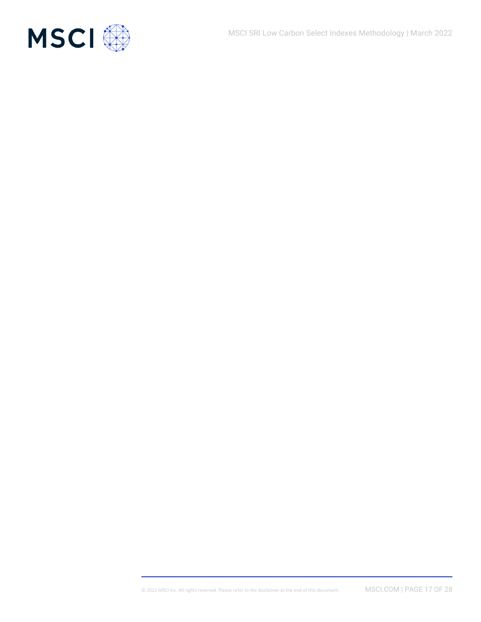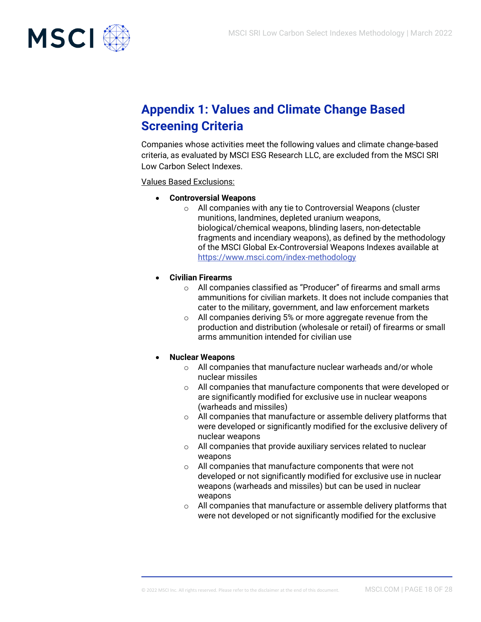

# **Appendix 1: Values and Climate Change Based Screening Criteria**

Companies whose activities meet the following values and climate change-based criteria, as evaluated by MSCI ESG Research LLC, are excluded from the MSCI SRI Low Carbon Select Indexes.

Values Based Exclusions:

- **Controversial Weapons** 
	- o All companies with any tie to Controversial Weapons (cluster munitions, landmines, depleted uranium weapons, biological/chemical weapons, blinding lasers, non-detectable fragments and incendiary weapons), as defined by the methodology of the MSCI Global Ex-Controversial Weapons Indexes available at <https://www.msci.com/index-methodology>

#### • **Civilian Firearms**

- o All companies classified as "Producer" of firearms and small arms ammunitions for civilian markets. It does not include companies that cater to the military, government, and law enforcement markets
- o All companies deriving 5% or more aggregate revenue from the production and distribution (wholesale or retail) of firearms or small arms ammunition intended for civilian use

## • **Nuclear Weapons**

- o All companies that manufacture nuclear warheads and/or whole nuclear missiles
- o All companies that manufacture components that were developed or are significantly modified for exclusive use in nuclear weapons (warheads and missiles)
- o All companies that manufacture or assemble delivery platforms that were developed or significantly modified for the exclusive delivery of nuclear weapons
- o All companies that provide auxiliary services related to nuclear weapons
- $\circ$  All companies that manufacture components that were not developed or not significantly modified for exclusive use in nuclear weapons (warheads and missiles) but can be used in nuclear weapons
- o All companies that manufacture or assemble delivery platforms that were not developed or not significantly modified for the exclusive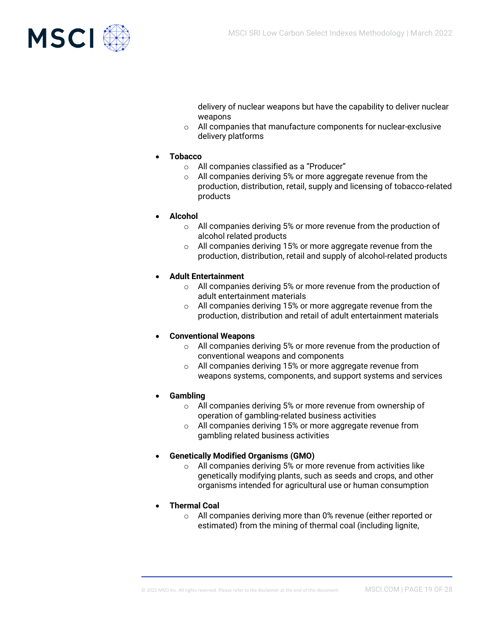

delivery of nuclear weapons but have the capability to deliver nuclear weapons

o All companies that manufacture components for nuclear-exclusive delivery platforms

#### • **Tobacco**

- o All companies classified as a "Producer"
- o All companies deriving 5% or more aggregate revenue from the production, distribution, retail, supply and licensing of tobacco-related products

#### • **Alcohol**

- o All companies deriving 5% or more revenue from the production of alcohol related products
- $\circ$  All companies deriving 15% or more aggregate revenue from the production, distribution, retail and supply of alcohol-related products

#### • **Adult Entertainment**

- o All companies deriving 5% or more revenue from the production of adult entertainment materials
- o All companies deriving 15% or more aggregate revenue from the production, distribution and retail of adult entertainment materials

#### • **Conventional Weapons**

- o All companies deriving 5% or more revenue from the production of conventional weapons and components
- o All companies deriving 15% or more aggregate revenue from weapons systems, components, and support systems and services

## • **Gambling**

- o All companies deriving 5% or more revenue from ownership of operation of gambling-related business activities
- o All companies deriving 15% or more aggregate revenue from gambling related business activities

#### • **Genetically Modified Organisms (GMO)**

o All companies deriving 5% or more revenue from activities like genetically modifying plants, such as seeds and crops, and other organisms intended for agricultural use or human consumption

## • **Thermal Coal**

o All companies deriving more than 0% revenue (either reported or estimated) from the mining of thermal coal (including lignite,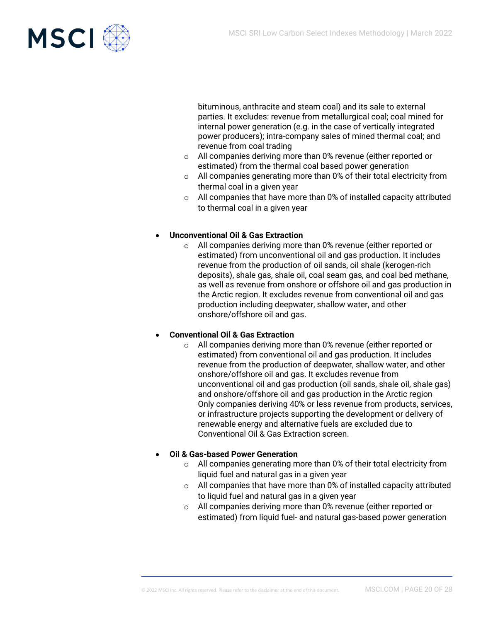

bituminous, anthracite and steam coal) and its sale to external parties. It excludes: revenue from metallurgical coal; coal mined for internal power generation (e.g. in the case of vertically integrated power producers); intra-company sales of mined thermal coal; and revenue from coal trading

- o All companies deriving more than 0% revenue (either reported or estimated) from the thermal coal based power generation
- o All companies generating more than 0% of their total electricity from thermal coal in a given year
- o All companies that have more than 0% of installed capacity attributed to thermal coal in a given year

## • **Unconventional Oil & Gas Extraction**

o All companies deriving more than 0% revenue (either reported or estimated) from unconventional oil and gas production. It includes revenue from the production of oil sands, oil shale (kerogen-rich deposits), shale gas, shale oil, coal seam gas, and coal bed methane, as well as revenue from onshore or offshore oil and gas production in the Arctic region. It excludes revenue from conventional oil and gas production including deepwater, shallow water, and other onshore/offshore oil and gas.

## • **Conventional Oil & Gas Extraction**

o All companies deriving more than 0% revenue (either reported or estimated) from conventional oil and gas production. It includes revenue from the production of deepwater, shallow water, and other onshore/offshore oil and gas. It excludes revenue from unconventional oil and gas production (oil sands, shale oil, shale gas) and onshore/offshore oil and gas production in the Arctic region Only companies deriving 40% or less revenue from products, services, or infrastructure projects supporting the development or delivery of renewable energy and alternative fuels are excluded due to Conventional Oil & Gas Extraction screen.

#### • **Oil & Gas-based Power Generation**

- $\circ$  All companies generating more than 0% of their total electricity from liquid fuel and natural gas in a given year
- o All companies that have more than 0% of installed capacity attributed to liquid fuel and natural gas in a given year
- o All companies deriving more than 0% revenue (either reported or estimated) from liquid fuel- and natural gas-based power generation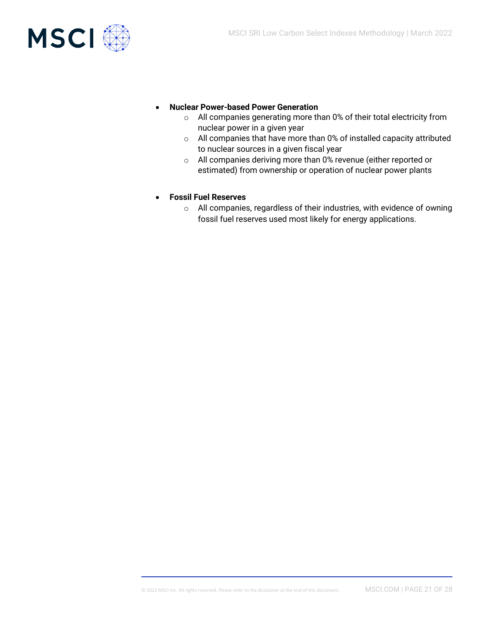

#### • **Nuclear Power-based Power Generation**

- o All companies generating more than 0% of their total electricity from nuclear power in a given year
- o All companies that have more than 0% of installed capacity attributed to nuclear sources in a given fiscal year
- o All companies deriving more than 0% revenue (either reported or estimated) from ownership or operation of nuclear power plants

## • **Fossil Fuel Reserves**

o All companies, regardless of their industries, with evidence of owning fossil fuel reserves used most likely for energy applications.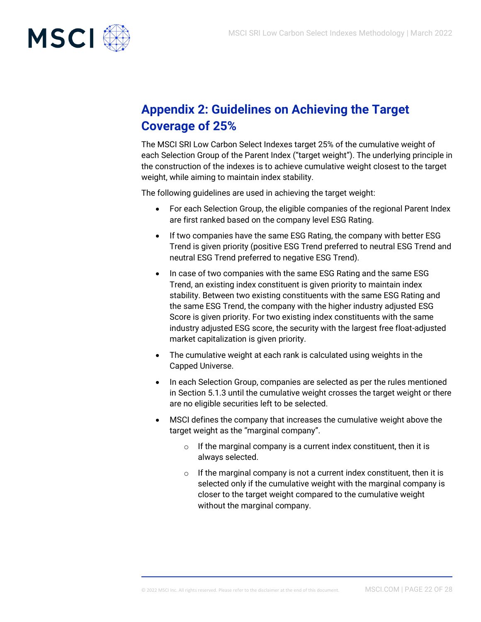

# **Appendix 2: Guidelines on Achieving the Target Coverage of 25%**

The MSCI SRI Low Carbon Select Indexes target 25% of the cumulative weight of each Selection Group of the Parent Index ("target weight"). The underlying principle in the construction of the indexes is to achieve cumulative weight closest to the target weight, while aiming to maintain index stability.

The following guidelines are used in achieving the target weight:

- For each Selection Group, the eligible companies of the regional Parent Index are first ranked based on the company level ESG Rating.
- If two companies have the same ESG Rating, the company with better ESG Trend is given priority (positive ESG Trend preferred to neutral ESG Trend and neutral ESG Trend preferred to negative ESG Trend).
- In case of two companies with the same ESG Rating and the same ESG Trend, an existing index constituent is given priority to maintain index stability. Between two existing constituents with the same ESG Rating and the same ESG Trend, the company with the higher industry adjusted ESG Score is given priority. For two existing index constituents with the same industry adjusted ESG score, the security with the largest free float-adjusted market capitalization is given priority.
- The cumulative weight at each rank is calculated using weights in the Capped Universe.
- In each Selection Group, companies are selected as per the rules mentioned in Section 5.1.3 until the cumulative weight crosses the target weight or there are no eligible securities left to be selected.
- MSCI defines the company that increases the cumulative weight above the target weight as the "marginal company".
	- $\circ$  If the marginal company is a current index constituent, then it is always selected.
	- $\circ$  If the marginal company is not a current index constituent, then it is selected only if the cumulative weight with the marginal company is closer to the target weight compared to the cumulative weight without the marginal company.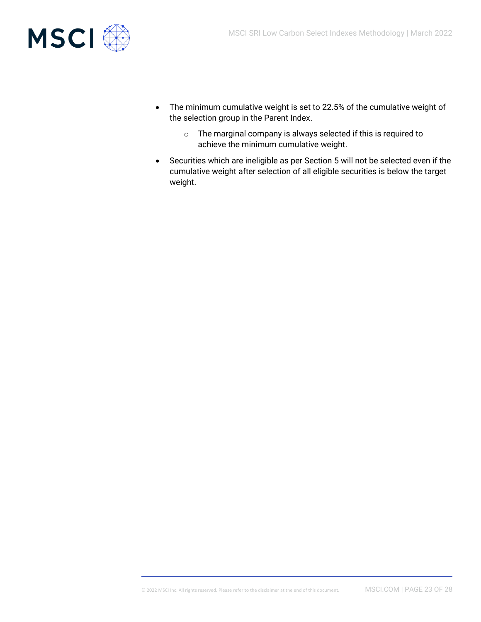

- The minimum cumulative weight is set to 22.5% of the cumulative weight of the selection group in the Parent Index.
	- o The marginal company is always selected if this is required to achieve the minimum cumulative weight.
- Securities which are ineligible as per Section 5 will not be selected even if the cumulative weight after selection of all eligible securities is below the target weight.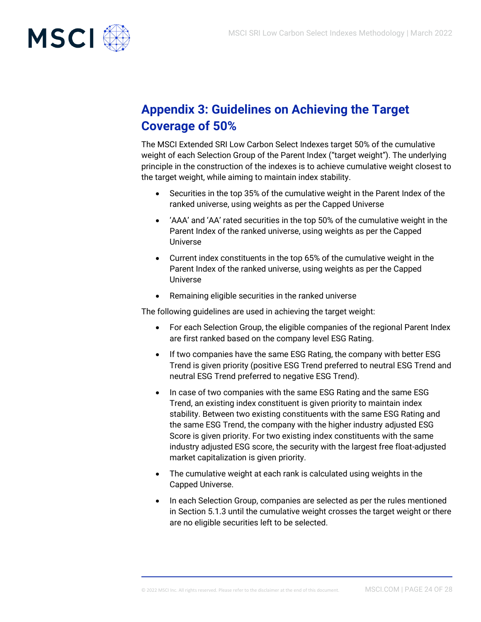

# **Appendix 3: Guidelines on Achieving the Target Coverage of 50%**

The MSCI Extended SRI Low Carbon Select Indexes target 50% of the cumulative weight of each Selection Group of the Parent Index ("target weight"). The underlying principle in the construction of the indexes is to achieve cumulative weight closest to the target weight, while aiming to maintain index stability.

- Securities in the top 35% of the cumulative weight in the Parent Index of the ranked universe, using weights as per the Capped Universe
- 'AAA' and 'AA' rated securities in the top 50% of the cumulative weight in the Parent Index of the ranked universe, using weights as per the Capped Universe
- Current index constituents in the top 65% of the cumulative weight in the Parent Index of the ranked universe, using weights as per the Capped Universe
- Remaining eligible securities in the ranked universe

The following guidelines are used in achieving the target weight:

- For each Selection Group, the eligible companies of the regional Parent Index are first ranked based on the company level ESG Rating.
- If two companies have the same ESG Rating, the company with better ESG Trend is given priority (positive ESG Trend preferred to neutral ESG Trend and neutral ESG Trend preferred to negative ESG Trend).
- In case of two companies with the same ESG Rating and the same ESG Trend, an existing index constituent is given priority to maintain index stability. Between two existing constituents with the same ESG Rating and the same ESG Trend, the company with the higher industry adjusted ESG Score is given priority. For two existing index constituents with the same industry adjusted ESG score, the security with the largest free float-adjusted market capitalization is given priority.
- The cumulative weight at each rank is calculated using weights in the Capped Universe.
- In each Selection Group, companies are selected as per the rules mentioned in Section 5.1.3 until the cumulative weight crosses the target weight or there are no eligible securities left to be selected.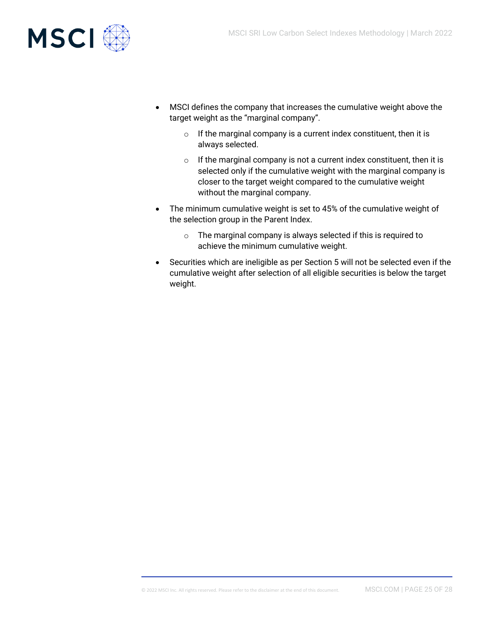

- MSCI defines the company that increases the cumulative weight above the target weight as the "marginal company".
	- $\circ$  If the marginal company is a current index constituent, then it is always selected.
	- $\circ$  If the marginal company is not a current index constituent, then it is selected only if the cumulative weight with the marginal company is closer to the target weight compared to the cumulative weight without the marginal company.
- The minimum cumulative weight is set to 45% of the cumulative weight of the selection group in the Parent Index.
	- o The marginal company is always selected if this is required to achieve the minimum cumulative weight.
- Securities which are ineligible as per Section 5 will not be selected even if the cumulative weight after selection of all eligible securities is below the target weight.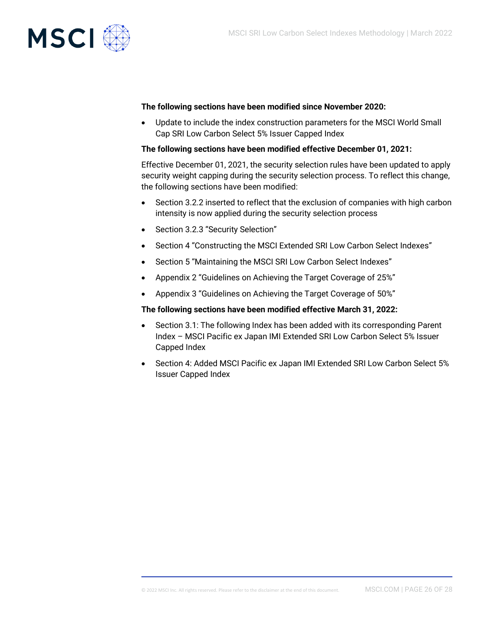

#### **The following sections have been modified since November 2020:**

• Update to include the index construction parameters for the MSCI World Small Cap SRI Low Carbon Select 5% Issuer Capped Index

#### **The following sections have been modified effective December 01, 2021:**

Effective December 01, 2021, the security selection rules have been updated to apply security weight capping during the security selection process. To reflect this change, the following sections have been modified:

- Section 3.2.2 inserted to reflect that the exclusion of companies with high carbon intensity is now applied during the security selection process
- Section 3.2.3 "Security Selection"
- Section 4 "Constructing the MSCI Extended SRI Low Carbon Select Indexes"
- Section 5 "Maintaining the MSCI SRI Low Carbon Select Indexes"
- Appendix 2 "Guidelines on Achieving the Target Coverage of 25%"
- Appendix 3 "Guidelines on Achieving the Target Coverage of 50%"

#### **The following sections have been modified effective March 31, 2022:**

- Section 3.1: The following Index has been added with its corresponding Parent Index – MSCI Pacific ex Japan IMI Extended SRI Low Carbon Select 5% Issuer Capped Index
- Section 4: Added MSCI Pacific ex Japan IMI Extended SRI Low Carbon Select 5% Issuer Capped Index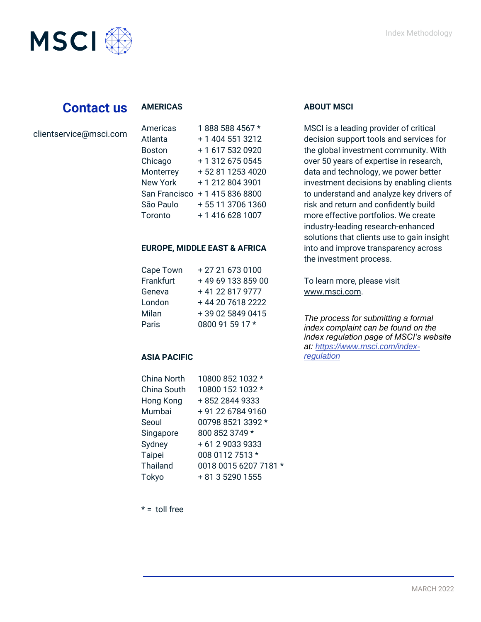

# **Contact us**

# **AMERICAS**

| clientservice@msci.com |  |
|------------------------|--|
|------------------------|--|

| Americas        | 1888 588 4567 *  |
|-----------------|------------------|
| Atlanta         | + 1 404 551 3212 |
| <b>Boston</b>   | +1 617 532 0920  |
| Chicago         | +13126750545     |
| Monterrey       | +52 81 1253 4020 |
| <b>New York</b> | +12128043901     |
| San Francisco   | +14158368800     |
| São Paulo       | +55 11 3706 1360 |
| Toronto         | +14166281007     |

#### **EUROPE, MIDDLE EAST & AFRICA**

| Cape Town | +27 21 673 0100   |
|-----------|-------------------|
| Frankfurt | +49 69 133 859 00 |
| Geneva    | +41 22 817 9777   |
| London    | +44 20 7618 2222  |
| Milan     | +39 02 5849 0415  |
| Paris     | 0800 91 59 17 *   |

## **ASIA PACIFIC**

| <b>China North</b> | 10800 852 1032 *      |
|--------------------|-----------------------|
| China South        | 10800 152 1032 *      |
| Hong Kong          | +852 2844 9333        |
| Mumbai             | +91 22 6784 9160      |
| Seoul              | 00798 8521 3392 *     |
| Singapore          | 800 852 3749 *        |
| Sydney             | +61290339333          |
| Taipei             | 008 0112 7513 *       |
| Thailand           | 0018 0015 6207 7181 * |
| Tokyo              | + 81 3 5290 1555      |

# **ABOUT MSCI**

MSCI is a leading provider of critical decision support tools and services for the global investment community. With over 50 years of expertise in research, data and technology, we power better investment decisions by enabling clients to understand and analyze key drivers of risk and return and confidently build more effective portfolios. We create industry-leading research-enhanced solutions that clients use to gain insight into and improve transparency across the investment process.

To learn more, please visit [www.msci.com.](https://www.msci.com/)

*The process for submitting a formal index complaint can be found on the index regulation page of MSCI's website at: [https://www.msci.com/index](https://www.msci.com/index-regulation)[regulation](https://www.msci.com/index-regulation)*

 $* =$  toll free